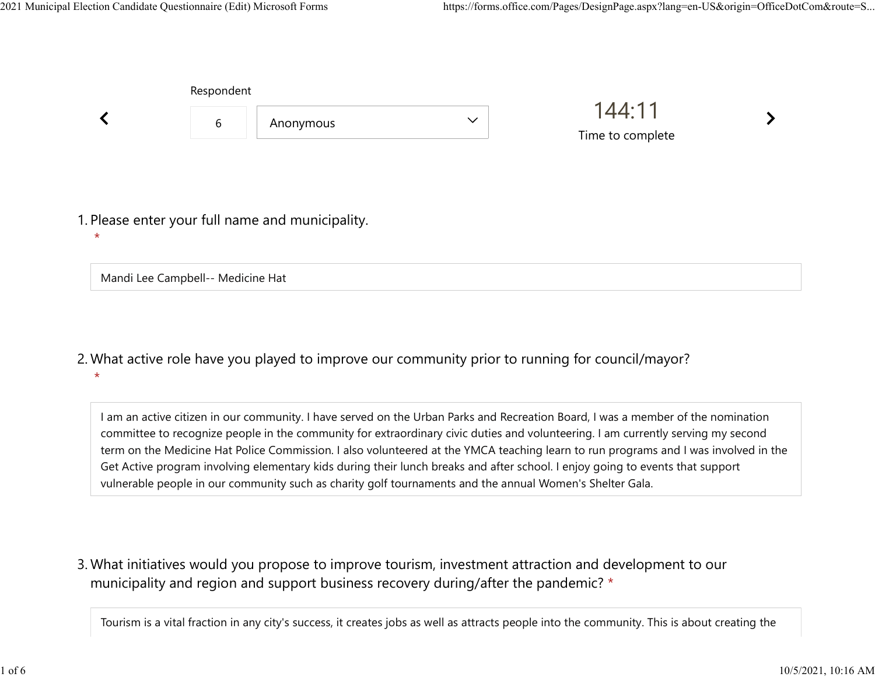|         | Respondent                        |                                                  |              |                            |  |
|---------|-----------------------------------|--------------------------------------------------|--------------|----------------------------|--|
|         | 6                                 | Anonymous                                        | $\checkmark$ | 144:11<br>Time to complete |  |
| $\star$ |                                   | 1. Please enter your full name and municipality. |              |                            |  |
|         | Mandi Lee Campbell-- Medicine Hat |                                                  |              |                            |  |

What active role have you played to improve our community prior to running for council/mayor? 2.  $\star$ 

I am an active citizen in our community. I have served on the Urban Parks and Recreation Board, I was a member of the nomination committee to recognize people in the community for extraordinary civic duties and volunteering. I am currently serving my second term on the Medicine Hat Police Commission. I also volunteered at the YMCA teaching learn to run programs and I was involved in the Get Active program involving elementary kids during their lunch breaks and after school. I enjoy going to events that support vulnerable people in our community such as charity golf tournaments and the annual Women's Shelter Gala.

What initiatives would you propose to improve tourism, investment attraction and development to our 3. municipality and region and support business recovery during/after the pandemic? \*

Tourism is a vital fraction in any city's success, it creates jobs as well as attracts people into the community. This is about creating the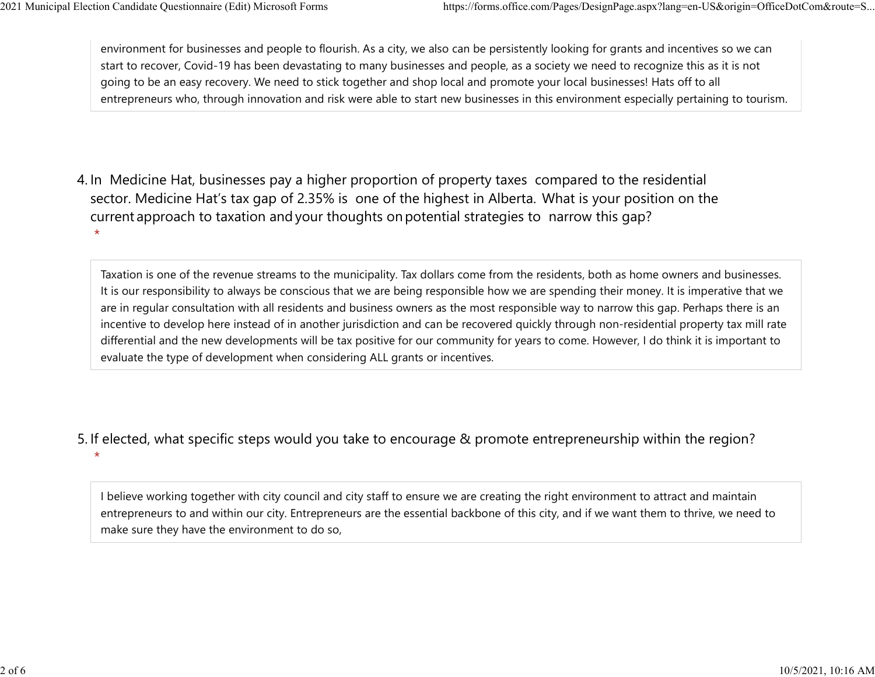environment for businesses and people to flourish. As a city, we also can be persistently looking for grants and incentives so we can start to recover, Covid-19 has been devastating to many businesses and people, as a society we need to recognize this as it is not going to be an easy recovery. We need to stick together and shop local and promote your local businesses! Hats off to all entrepreneurs who, through innovation and risk were able to start new businesses in this environment especially pertaining to tourism. 2021 Municipal Election Candidate Questionnaire (Edit) Microsoft Forms https://forms.office.com/Pages/DesignPage.aspx?lang=en-US&origin=OfficeDotCom&route=S...<br>
environment for businesses and people to flourish. As a city,

4. In Medicine Hat, businesses pay a higher proportion of property taxes compared to the residential sector.  Medicine Hat's tax gap of 2.35% is one of the highest in Alberta.  What is your position on the current approach to taxation and your thoughts on potential strategies to narrow this gap?  $\star$ 

Taxation is one of the revenue streams to the municipality. Tax dollars come from the residents, both as home owners and businesses. It is our responsibility to always be conscious that we are being responsible how we are spending their money. It is imperative that we are in regular consultation with all residents and business owners as the most responsible way to narrow this gap. Perhaps there is an incentive to develop here instead of in another jurisdiction and can be recovered quickly through non-residential property tax mill rate differential and the new developments will be tax positive for our community for years to come. However, I do think it is important to evaluate the type of development when considering ALL grants or incentives.

5. If elected, what specific steps would you take to encourage & promote entrepreneurship within the region?

 $\star$ 

I believe working together with city council and city staff to ensure we are creating the right environment to attract and maintain entrepreneurs to and within our city. Entrepreneurs are the essential backbone of this city, and if we want them to thrive, we need to make sure they have the environment to do so,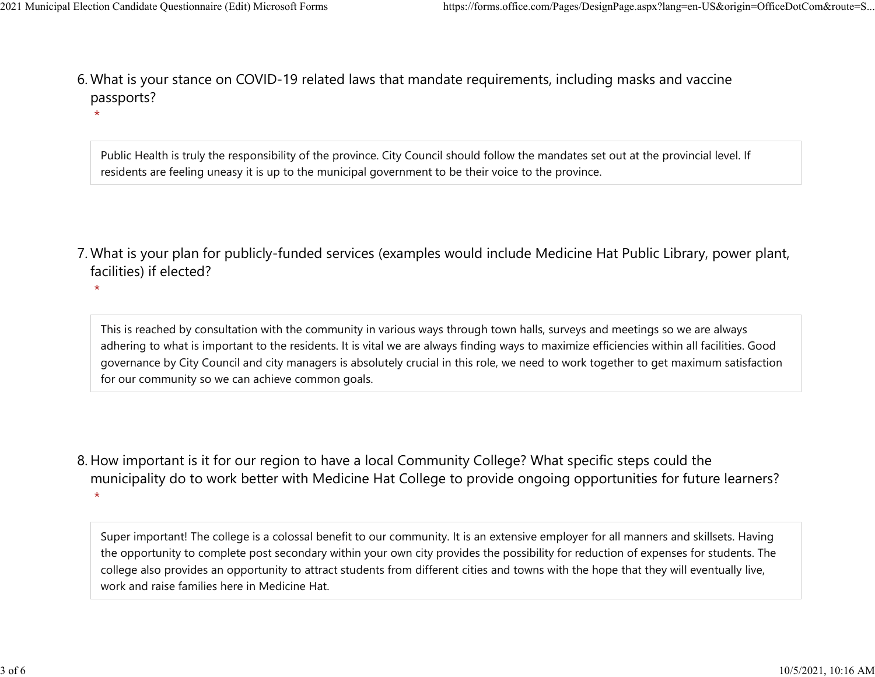$\star$ 

What is your stance on COVID-19 related laws that mandate requirements, including masks and vaccine 6. passports? 2021 Municipal Election Candidate Questionnaire (Edit) Microsoft Forms https://forms.office.com/Pages/DesignPage.aspx?lang=en-US&origin=OfficeDotCom&route=S...<br>6 Mhat is vour stance on COVID-19 related laws that mandate re

> Public Health is truly the responsibility of the province. City Council should follow the mandates set out at the provincial level. If residents are feeling uneasy it is up to the municipal government to be their voice to the province.

What is your plan for publicly-funded services (examples would include Medicine Hat Public Library, power plant, 7. facilities) if elected?

 $\star$ 

This is reached by consultation with the community in various ways through town halls, surveys and meetings so we are always adhering to what is important to the residents. It is vital we are always finding ways to maximize efficiencies within all facilities. Good governance by City Council and city managers is absolutely crucial in this role, we need to work together to get maximum satisfaction for our community so we can achieve common goals.

8. How important is it for our region to have a local Community College? What specific steps could the municipality do to work better with Medicine Hat College to provide ongoing opportunities for future learners?  $\star$ 

Super important! The college is a colossal benefit to our community. It is an extensive employer for all manners and skillsets. Having the opportunity to complete post secondary within your own city provides the possibility for reduction of expenses for students. The college also provides an opportunity to attract students from different cities and towns with the hope that they will eventually live, work and raise families here in Medicine Hat.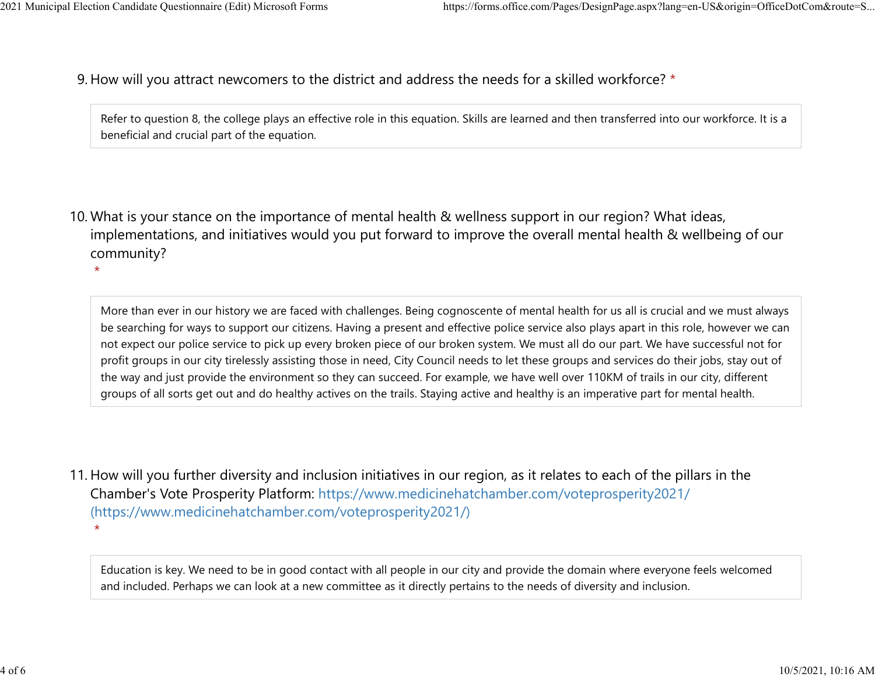$\star$ 

9. How will you attract newcomers to the district and address the needs for a skilled workforce? \* 2021 Municipal Election Candidate Questionnaire (Edit) Microsoft Forms https://forms.office.com/Pages/DesignPage.aspx?lang=en-US&origin=OfficeDotCom&route=S...<br>Q How will you attract newcomers to the district and address t

Refer to question 8, the college plays an effective role in this equation. Skills are learned and then transferred into our workforce. It is a beneficial and crucial part of the equation.

10. What is your stance on the importance of mental health & wellness support in our region? What ideas, implementations, and initiatives would you put forward to improve the overall mental health & wellbeing of our community?

More than ever in our history we are faced with challenges. Being cognoscente of mental health for us all is crucial and we must always be searching for ways to support our citizens. Having a present and effective police service also plays apart in this role, however we can not expect our police service to pick up every broken piece of our broken system. We must all do our part. We have successful not for profit groups in our city tirelessly assisting those in need, City Council needs to let these groups and services do their jobs, stay out of the way and just provide the environment so they can succeed. For example, we have well over 110KM of trails in our city, different groups of all sorts get out and do healthy actives on the trails. Staying active and healthy is an imperative part for mental health.

11. How will you further diversity and inclusion initiatives in our region, as it relates to each of the pillars in the Chamber's Vote Prosperity Platform: https://www.medicinehatchamber.com/voteprosperity2021/ (https://www.medicinehatchamber.com/voteprosperity2021/)  $\star$ 

Education is key. We need to be in good contact with all people in our city and provide the domain where everyone feels welcomed and included. Perhaps we can look at a new committee as it directly pertains to the needs of diversity and inclusion.